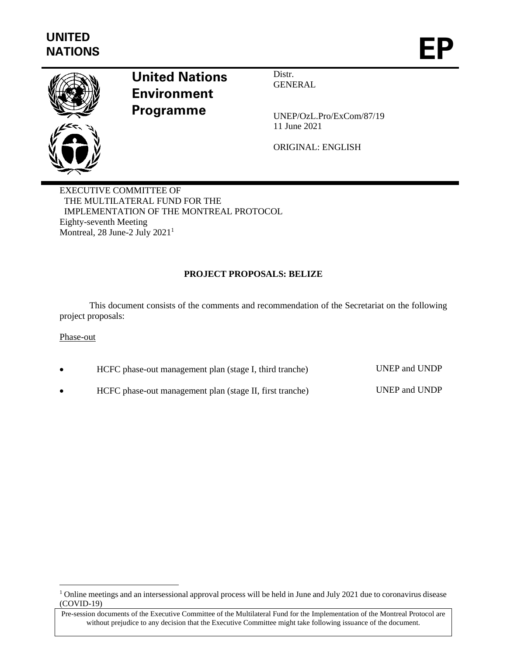

# **United Nations Environment Programme**

Distr. GENERAL

UNEP/OzL.Pro/ExCom/87/19 11 June 2021

ORIGINAL: ENGLISH

EXECUTIVE COMMITTEE OF THE MULTILATERAL FUND FOR THE IMPLEMENTATION OF THE MONTREAL PROTOCOL Eighty-seventh Meeting Montreal, 28 June-2 July 2021<sup>1</sup>

# **PROJECT PROPOSALS: BELIZE**

This document consists of the comments and recommendation of the Secretariat on the following project proposals:

### Phase-out

| HCFC phase-out management plan (stage I, third tranche)  | UNEP and UNDP |
|----------------------------------------------------------|---------------|
| HCFC phase-out management plan (stage II, first tranche) | UNEP and UNDP |

<sup>&</sup>lt;sup>1</sup> Online meetings and an intersessional approval process will be held in June and July 2021 due to coronavirus disease (COVID-19)

Pre-session documents of the Executive Committee of the Multilateral Fund for the Implementation of the Montreal Protocol are without prejudice to any decision that the Executive Committee might take following issuance of the document.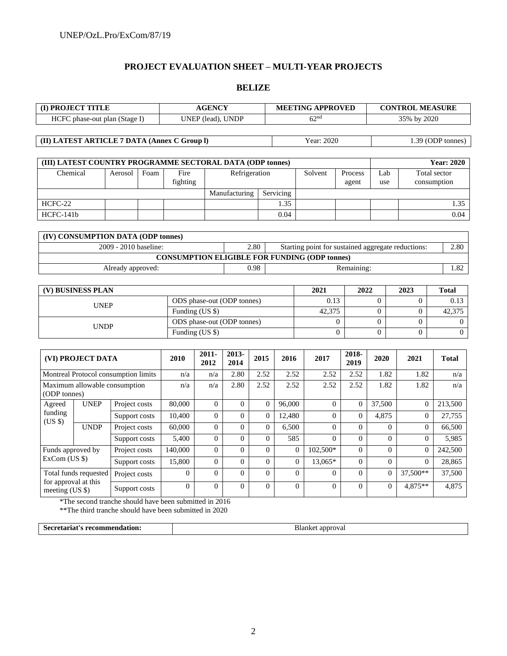### **PROJECT EVALUATION SHEET – MULTI-YEAR PROJECTS**

# **BELIZE**

|                                         | (I) PROJECT TITLE             |                                                           |                  | <b>AGENCY</b>              |                            |                |           | <b>MEETING APPROVED</b>                              |                  |                      | <b>CONTROL MEASURE</b>               |                             |  |  |
|-----------------------------------------|-------------------------------|-----------------------------------------------------------|------------------|----------------------------|----------------------------|----------------|-----------|------------------------------------------------------|------------------|----------------------|--------------------------------------|-----------------------------|--|--|
|                                         | HCFC phase-out plan (Stage I) |                                                           |                  | UNEP (lead), UNDP          |                            |                |           | 62 <sup>nd</sup>                                     |                  |                      | 35% by 2020                          |                             |  |  |
|                                         |                               |                                                           |                  |                            |                            |                |           |                                                      |                  |                      |                                      |                             |  |  |
|                                         |                               | (II) LATEST ARTICLE 7 DATA (Annex C Group I)              |                  |                            |                            |                |           | Year: 2020                                           |                  |                      |                                      | 1.39 (ODP tonnes)           |  |  |
|                                         |                               |                                                           |                  |                            |                            |                |           |                                                      |                  |                      |                                      |                             |  |  |
|                                         |                               | (III) LATEST COUNTRY PROGRAMME SECTORAL DATA (ODP tonnes) |                  |                            |                            |                |           |                                                      |                  |                      |                                      | <b>Year: 2020</b>           |  |  |
| Chemical                                |                               | Aerosol<br>Foam                                           | Fire<br>fighting |                            | Refrigeration              |                |           | Solvent                                              | Process<br>agent | Lab<br>use           |                                      | Total sector<br>consumption |  |  |
|                                         |                               |                                                           |                  |                            | Manufacturing              |                | Servicing |                                                      |                  |                      |                                      |                             |  |  |
| HCFC-22                                 |                               |                                                           |                  |                            |                            |                | 1.35      |                                                      |                  |                      |                                      | 1.35                        |  |  |
| HCFC-141b                               |                               |                                                           |                  |                            |                            |                | 0.04      |                                                      |                  |                      |                                      | 0.04                        |  |  |
|                                         |                               |                                                           |                  |                            |                            |                |           |                                                      |                  |                      |                                      |                             |  |  |
|                                         |                               | (IV) CONSUMPTION DATA (ODP tonnes)                        |                  |                            |                            |                |           |                                                      |                  |                      |                                      |                             |  |  |
|                                         |                               | 2009 - 2010 baseline:                                     |                  |                            |                            | 2.80           |           | Starting point for sustained aggregate reductions:   |                  |                      |                                      | 2.80                        |  |  |
|                                         |                               |                                                           |                  |                            |                            |                |           | <b>CONSUMPTION ELIGIBLE FOR FUNDING (ODP tonnes)</b> |                  |                      |                                      |                             |  |  |
|                                         |                               | Already approved:                                         |                  |                            |                            | 0.98           |           |                                                      | Remaining:       |                      |                                      | 1.82                        |  |  |
|                                         |                               |                                                           |                  |                            |                            |                |           |                                                      |                  |                      |                                      |                             |  |  |
| (V) BUSINESS PLAN                       |                               |                                                           |                  |                            |                            |                | 2021      | 2022                                                 |                  | 2023                 | <b>Total</b>                         |                             |  |  |
|                                         | <b>UNEP</b>                   |                                                           |                  |                            | ODS phase-out (ODP tonnes) |                |           | 0.13                                                 |                  | $\overline{0}$       | $\mathbf{0}$                         | 0.13                        |  |  |
|                                         |                               |                                                           |                  | Funding (US \$)            |                            |                |           | 42,375                                               |                  | $\Omega$             | $\mathbf{0}$                         | 42,375                      |  |  |
|                                         | <b>UNDP</b>                   |                                                           |                  | ODS phase-out (ODP tonnes) |                            |                |           |                                                      | $\Omega$         | $\Omega$<br>$\theta$ | $\mathbf{0}$<br>$\overline{0}$       | $\theta$                    |  |  |
|                                         |                               |                                                           |                  | Funding (US \$)            |                            |                |           |                                                      | $\Omega$         |                      |                                      | $\boldsymbol{0}$            |  |  |
|                                         |                               |                                                           |                  |                            |                            |                |           |                                                      |                  |                      |                                      |                             |  |  |
|                                         | (VI) PROJECT DATA             |                                                           | 2010             | $2011 -$<br>2012           | 2013-<br>2014              | 2015           | 2016      | 2017                                                 | 2018-<br>2019    | 2020                 | 2021                                 | <b>Total</b>                |  |  |
|                                         |                               | Montreal Protocol consumption limits                      | n/a              | n/a                        | 2.80                       | 2.52           | 2.52      | 2.52                                                 | 2.52             | 1.82                 | 1.82                                 | n/a                         |  |  |
| (ODP tonnes)                            | Maximum allowable consumption |                                                           | n/a              | n/a                        | 2.80                       | 2.52           | 2.52      | 2.52                                                 | 2.52             | 1.82                 | 1.82                                 | n/a                         |  |  |
| Agreed                                  | <b>UNEP</b>                   | Project costs                                             | 80,000           | $\boldsymbol{0}$           | $\overline{0}$             | $\overline{0}$ | 96,000    | $\overline{0}$                                       | $\overline{0}$   | 37,500               | $\mathbf{0}$                         | 213,500                     |  |  |
| funding                                 |                               | Support costs                                             | 10,400           | $\overline{0}$             | $\overline{0}$             | $\overline{0}$ | 12,480    | $\boldsymbol{0}$                                     | $\mathbf{0}$     | 4,875                | $\overline{0}$                       | 27,755                      |  |  |
| $(US \$                                 | <b>UNDP</b>                   | Project costs                                             | 60,000           | $\boldsymbol{0}$           | $\overline{0}$             | $\overline{0}$ | 6,500     | $\overline{0}$                                       | $\overline{0}$   |                      | $\overline{0}$<br>$\overline{0}$     | 66,500                      |  |  |
|                                         |                               | Support costs                                             | 5,400            | $\boldsymbol{0}$           | $\overline{0}$             | $\overline{0}$ | 585       | $\overline{0}$                                       | $\overline{0}$   |                      | $\overline{0}$<br>$\overline{0}$     | 5,985                       |  |  |
| Funds approved by                       |                               | Project costs                                             | 140,000          | $\boldsymbol{0}$           | $\boldsymbol{0}$           | $\Omega$       |           | 102,500*<br>$\boldsymbol{0}$                         | $\Omega$         |                      | $\boldsymbol{0}$<br>$\boldsymbol{0}$ | 242,500                     |  |  |
| ExCom (US \$)                           |                               | Support costs                                             | 15,800           | $\overline{0}$             | $\overline{0}$             | $\mathbf{0}$   |           | $\mathbf{0}$<br>13,065*                              | $\mathbf{0}$     |                      | $\Omega$<br>$\Omega$                 | 28,865                      |  |  |
|                                         | Total funds requested         | Project costs                                             | $\Omega$         | $\overline{0}$             | $\theta$                   | $\Omega$       |           | $\theta$<br>$\Omega$                                 | $\mathbf{0}$     |                      | $\mathbf{0}$<br>37,500**             | 37,500                      |  |  |
| for approval at this<br>meeting (US \$) |                               | Support costs                                             | $\Omega$         | $\Omega$                   | $\theta$                   | $\Omega$       |           | $\theta$<br>$\overline{0}$                           | $\Omega$         |                      | $\Omega$<br>4,875**                  | 4,875                       |  |  |
|                                         |                               | *The second tranche should have been submitted in 2016    |                  |                            |                            |                |           |                                                      |                  |                      |                                      |                             |  |  |

\*\*The third tranche should have been submitted in 2020

| 's recommendation:<br>– Secretariat's | t approval<br>ріанке |
|---------------------------------------|----------------------|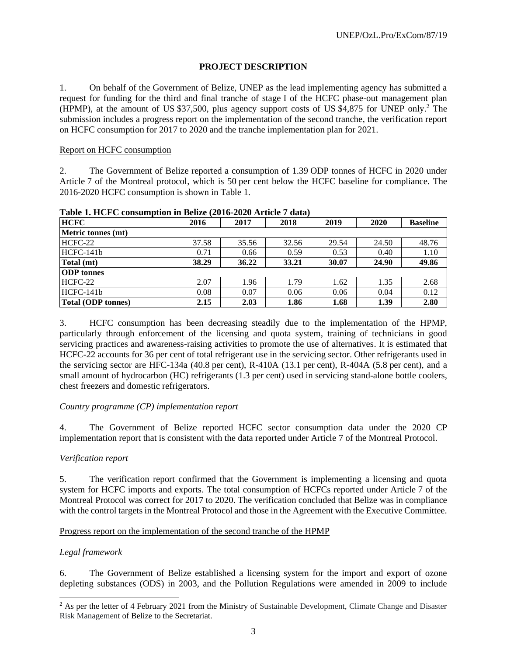# **PROJECT DESCRIPTION**

1. On behalf of the Government of Belize, UNEP as the lead implementing agency has submitted a request for funding for the third and final tranche of stage I of the HCFC phase-out management plan (HPMP), at the amount of US \$37,500, plus agency support costs of US \$4,875 for UNEP only. <sup>2</sup> The submission includes a progress report on the implementation of the second tranche, the verification report on HCFC consumption for 2017 to 2020 and the tranche implementation plan for 2021.

### Report on HCFC consumption

2. The Government of Belize reported a consumption of 1.39 ODP tonnes of HCFC in 2020 under Article 7 of the Montreal protocol, which is 50 per cent below the HCFC baseline for compliance. The 2016-2020 HCFC consumption is shown in Table 1.

| <b>HCFC</b>               | 2016  | 2017  | 2018  | 2019  | 2020  | <b>Baseline</b> |
|---------------------------|-------|-------|-------|-------|-------|-----------------|
| Metric tonnes (mt)        |       |       |       |       |       |                 |
| $HCFC-22$                 | 37.58 | 35.56 | 32.56 | 29.54 | 24.50 | 48.76           |
| HCFC-141b                 | 0.71  | 0.66  | 0.59  | 0.53  | 0.40  | 1.10            |
| Total (mt)                | 38.29 | 36.22 | 33.21 | 30.07 | 24.90 | 49.86           |
| <b>ODP</b> tonnes         |       |       |       |       |       |                 |
| HCFC-22                   | 2.07  | 1.96  | 1.79  | 1.62  | 1.35  | 2.68            |
| $HCFC-141b$               | 0.08  | 0.07  | 0.06  | 0.06  | 0.04  | 0.12            |
| <b>Total (ODP tonnes)</b> | 2.15  | 2.03  | 1.86  | 1.68  | 1.39  | 2.80            |

**Table 1. HCFC consumption in Belize (2016-2020 Article 7 data)**

3. HCFC consumption has been decreasing steadily due to the implementation of the HPMP, particularly through enforcement of the licensing and quota system, training of technicians in good servicing practices and awareness-raising activities to promote the use of alternatives. It is estimated that HCFC-22 accounts for 36 per cent of total refrigerant use in the servicing sector. Other refrigerants used in the servicing sector are HFC-134a (40.8 per cent), R-410A (13.1 per cent), R-404A (5.8 per cent), and a small amount of hydrocarbon (HC) refrigerants (1.3 per cent) used in servicing stand-alone bottle coolers, chest freezers and domestic refrigerators.

### *Country programme (CP) implementation report*

4. The Government of Belize reported HCFC sector consumption data under the 2020 CP implementation report that is consistent with the data reported under Article 7 of the Montreal Protocol.

### *Verification report*

5. The verification report confirmed that the Government is implementing a licensing and quota system for HCFC imports and exports. The total consumption of HCFCs reported under Article 7 of the Montreal Protocol was correct for 2017 to 2020. The verification concluded that Belize was in compliance with the control targets in the Montreal Protocol and those in the Agreement with the Executive Committee.

### Progress report on the implementation of the second tranche of the HPMP

# *Legal framework*

6. The Government of Belize established a licensing system for the import and export of ozone depleting substances (ODS) in 2003, and the Pollution Regulations were amended in 2009 to include

<sup>&</sup>lt;sup>2</sup> As per the letter of 4 February 2021 from the Ministry of Sustainable Development, Climate Change and Disaster Risk Management of Belize to the Secretariat.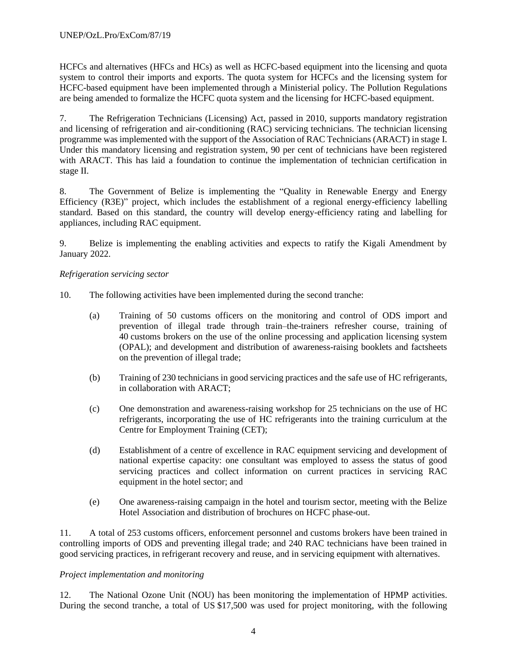HCFCs and alternatives (HFCs and HCs) as well as HCFC-based equipment into the licensing and quota system to control their imports and exports. The quota system for HCFCs and the licensing system for HCFC-based equipment have been implemented through a Ministerial policy. The Pollution Regulations are being amended to formalize the HCFC quota system and the licensing for HCFC-based equipment.

7. The Refrigeration Technicians (Licensing) Act, passed in 2010, supports mandatory registration and licensing of refrigeration and air-conditioning (RAC) servicing technicians. The technician licensing programme was implemented with the support of the Association of RAC Technicians (ARACT) in stage I. Under this mandatory licensing and registration system, 90 per cent of technicians have been registered with ARACT. This has laid a foundation to continue the implementation of technician certification in stage II.

8. The Government of Belize is implementing the "Quality in Renewable Energy and Energy Efficiency (R3E)" project, which includes the establishment of a regional energy-efficiency labelling standard. Based on this standard, the country will develop energy-efficiency rating and labelling for appliances, including RAC equipment.

9. Belize is implementing the enabling activities and expects to ratify the Kigali Amendment by January 2022.

### *Refrigeration servicing sector*

10. The following activities have been implemented during the second tranche:

- (a) Training of 50 customs officers on the monitoring and control of ODS import and prevention of illegal trade through train–the-trainers refresher course, training of 40 customs brokers on the use of the online processing and application licensing system (OPAL); and development and distribution of awareness-raising booklets and factsheets on the prevention of illegal trade;
- (b) Training of 230 technicians in good servicing practices and the safe use of HC refrigerants, in collaboration with ARACT;
- (c) One demonstration and awareness-raising workshop for 25 technicians on the use of HC refrigerants, incorporating the use of HC refrigerants into the training curriculum at the Centre for Employment Training (CET);
- (d) Establishment of a centre of excellence in RAC equipment servicing and development of national expertise capacity: one consultant was employed to assess the status of good servicing practices and collect information on current practices in servicing RAC equipment in the hotel sector; and
- (e) One awareness-raising campaign in the hotel and tourism sector, meeting with the Belize Hotel Association and distribution of brochures on HCFC phase-out.

11. A total of 253 customs officers, enforcement personnel and customs brokers have been trained in controlling imports of ODS and preventing illegal trade; and 240 RAC technicians have been trained in good servicing practices, in refrigerant recovery and reuse, and in servicing equipment with alternatives.

### *Project implementation and monitoring*

12. The National Ozone Unit (NOU) has been monitoring the implementation of HPMP activities. During the second tranche, a total of US \$17,500 was used for project monitoring, with the following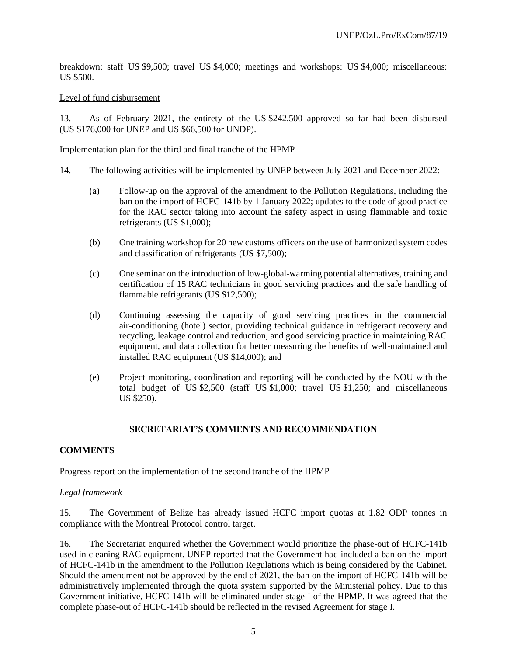breakdown: staff US \$9,500; travel US \$4,000; meetings and workshops: US \$4,000; miscellaneous: US \$500.

### Level of fund disbursement

13. As of February 2021, the entirety of the US \$242,500 approved so far had been disbursed (US \$176,000 for UNEP and US \$66,500 for UNDP).

#### Implementation plan for the third and final tranche of the HPMP

- 14. The following activities will be implemented by UNEP between July 2021 and December 2022:
	- (a) Follow-up on the approval of the amendment to the Pollution Regulations, including the ban on the import of HCFC-141b by 1 January 2022; updates to the code of good practice for the RAC sector taking into account the safety aspect in using flammable and toxic refrigerants (US \$1,000);
	- (b) One training workshop for 20 new customs officers on the use of harmonized system codes and classification of refrigerants (US \$7,500);
	- (c) One seminar on the introduction of low-global-warming potential alternatives, training and certification of 15 RAC technicians in good servicing practices and the safe handling of flammable refrigerants (US \$12,500);
	- (d) Continuing assessing the capacity of good servicing practices in the commercial air-conditioning (hotel) sector, providing technical guidance in refrigerant recovery and recycling, leakage control and reduction, and good servicing practice in maintaining RAC equipment, and data collection for better measuring the benefits of well-maintained and installed RAC equipment (US \$14,000); and
	- (e) Project monitoring, coordination and reporting will be conducted by the NOU with the total budget of US \$2,500 (staff US \$1,000; travel US \$1,250; and miscellaneous US \$250).

### **SECRETARIAT'S COMMENTS AND RECOMMENDATION**

### **COMMENTS**

#### Progress report on the implementation of the second tranche of the HPMP

### *Legal framework*

15. The Government of Belize has already issued HCFC import quotas at 1.82 ODP tonnes in compliance with the Montreal Protocol control target.

16. The Secretariat enquired whether the Government would prioritize the phase-out of HCFC-141b used in cleaning RAC equipment. UNEP reported that the Government had included a ban on the import of HCFC-141b in the amendment to the Pollution Regulations which is being considered by the Cabinet. Should the amendment not be approved by the end of 2021, the ban on the import of HCFC-141b will be administratively implemented through the quota system supported by the Ministerial policy. Due to this Government initiative, HCFC-141b will be eliminated under stage I of the HPMP. It was agreed that the complete phase-out of HCFC-141b should be reflected in the revised Agreement for stage I.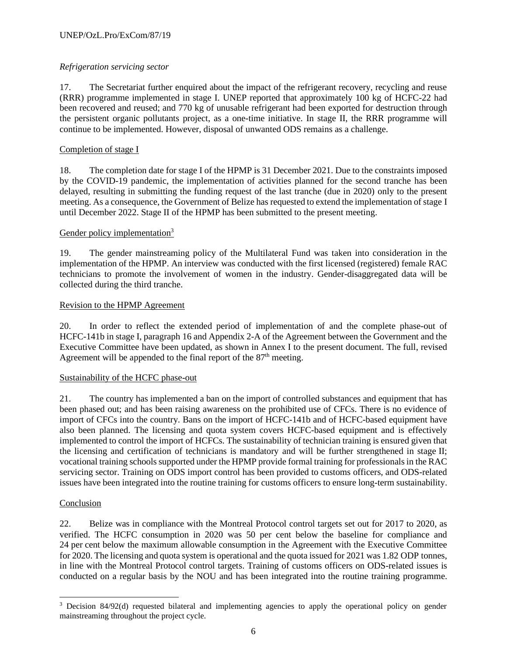# *Refrigeration servicing sector*

17. The Secretariat further enquired about the impact of the refrigerant recovery, recycling and reuse (RRR) programme implemented in stage I. UNEP reported that approximately 100 kg of HCFC-22 had been recovered and reused; and 770 kg of unusable refrigerant had been exported for destruction through the persistent organic pollutants project, as a one-time initiative. In stage II, the RRR programme will continue to be implemented. However, disposal of unwanted ODS remains as a challenge.

# Completion of stage I

18. The completion date for stage I of the HPMP is 31 December 2021. Due to the constraints imposed by the COVID-19 pandemic, the implementation of activities planned for the second tranche has been delayed, resulting in submitting the funding request of the last tranche (due in 2020) only to the present meeting. As a consequence, the Government of Belize has requested to extend the implementation of stage I until December 2022. Stage II of the HPMP has been submitted to the present meeting.

# Gender policy implementation<sup>3</sup>

19. The gender mainstreaming policy of the Multilateral Fund was taken into consideration in the implementation of the HPMP. An interview was conducted with the first licensed (registered) female RAC technicians to promote the involvement of women in the industry. Gender-disaggregated data will be collected during the third tranche.

# Revision to the HPMP Agreement

20. In order to reflect the extended period of implementation of and the complete phase-out of HCFC-141b in stage I, paragraph 16 and Appendix 2-A of the Agreement between the Government and the Executive Committee have been updated, as shown in Annex I to the present document. The full, revised Agreement will be appended to the final report of the  $87<sup>th</sup>$  meeting.

# Sustainability of the HCFC phase-out

21. The country has implemented a ban on the import of controlled substances and equipment that has been phased out; and has been raising awareness on the prohibited use of CFCs. There is no evidence of import of CFCs into the country. Bans on the import of HCFC-141b and of HCFC-based equipment have also been planned. The licensing and quota system covers HCFC-based equipment and is effectively implemented to control the import of HCFCs. The sustainability of technician training is ensured given that the licensing and certification of technicians is mandatory and will be further strengthened in stage II; vocational training schools supported under the HPMP provide formal training for professionals in the RAC servicing sector. Training on ODS import control has been provided to customs officers, and ODS-related issues have been integrated into the routine training for customs officers to ensure long-term sustainability.

# Conclusion

22. Belize was in compliance with the Montreal Protocol control targets set out for 2017 to 2020, as verified. The HCFC consumption in 2020 was 50 per cent below the baseline for compliance and 24 per cent below the maximum allowable consumption in the Agreement with the Executive Committee for 2020. The licensing and quota system is operational and the quota issued for 2021 was 1.82 ODP tonnes, in line with the Montreal Protocol control targets. Training of customs officers on ODS-related issues is conducted on a regular basis by the NOU and has been integrated into the routine training programme.

<sup>&</sup>lt;sup>3</sup> Decision 84/92(d) requested bilateral and implementing agencies to apply the operational policy on gender mainstreaming throughout the project cycle.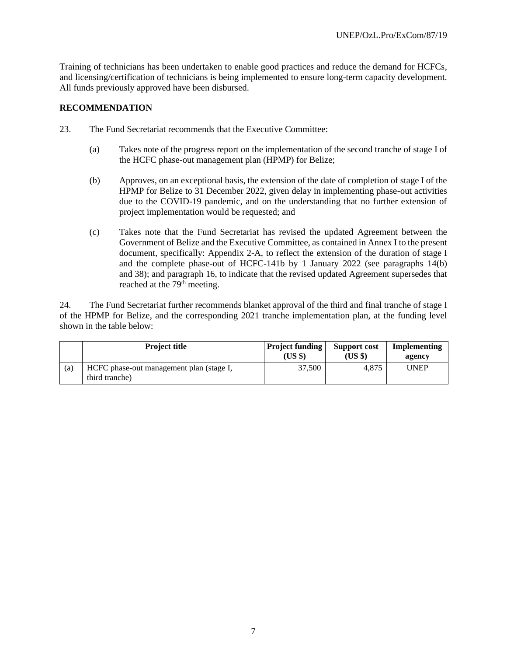Training of technicians has been undertaken to enable good practices and reduce the demand for HCFCs, and licensing/certification of technicians is being implemented to ensure long-term capacity development. All funds previously approved have been disbursed.

# **RECOMMENDATION**

- 23. The Fund Secretariat recommends that the Executive Committee:
	- (a) Takes note of the progress report on the implementation of the second tranche of stage I of the HCFC phase-out management plan (HPMP) for Belize;
	- (b) Approves, on an exceptional basis, the extension of the date of completion of stage I of the HPMP for Belize to 31 December 2022, given delay in implementing phase-out activities due to the COVID-19 pandemic, and on the understanding that no further extension of project implementation would be requested; and
	- (c) Takes note that the Fund Secretariat has revised the updated Agreement between the Government of Belize and the Executive Committee, as contained in Annex I to the present document, specifically: Appendix 2-A, to reflect the extension of the duration of stage I and the complete phase-out of HCFC-141b by 1 January 2022 (see paragraphs 14(b) and 38); and paragraph 16, to indicate that the revised updated Agreement supersedes that reached at the 79<sup>th</sup> meeting.

24. The Fund Secretariat further recommends blanket approval of the third and final tranche of stage I of the HPMP for Belize, and the corresponding 2021 tranche implementation plan, at the funding level shown in the table below:

|     | <b>Project title</b>                                       | <b>Project funding</b><br>(USS) | Support cost<br>(USS) | Implementing<br>agency |
|-----|------------------------------------------------------------|---------------------------------|-----------------------|------------------------|
| (a) | HCFC phase-out management plan (stage I,<br>third tranche) | 37,500                          | 4,875                 | <b>UNEP</b>            |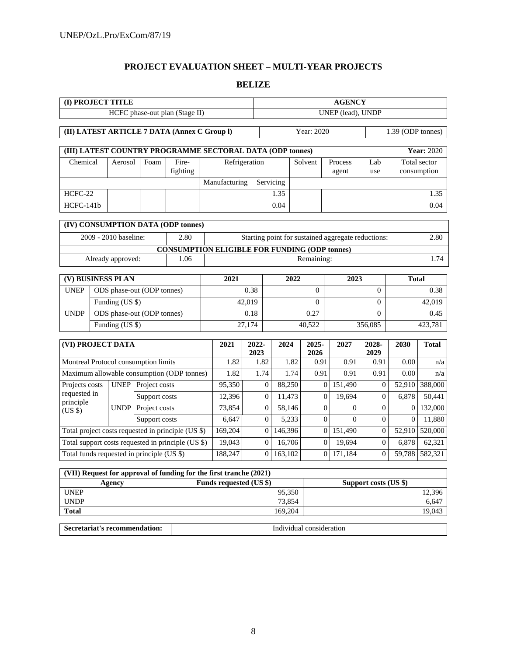# **PROJECT EVALUATION SHEET – MULTI-YEAR PROJECTS**

#### **BELIZE**

|                           | (I) PROJECT TITLE     |                                            |                                                    |                                                                    |               |                                 |      | <b>AGENCY</b>    |                                                    |                       |                |                      |  |  |  |
|---------------------------|-----------------------|--------------------------------------------|----------------------------------------------------|--------------------------------------------------------------------|---------------|---------------------------------|------|------------------|----------------------------------------------------|-----------------------|----------------|----------------------|--|--|--|
|                           |                       |                                            | HCFC phase-out plan (Stage II)                     |                                                                    |               |                                 |      |                  | UNEP (lead), UNDP                                  |                       |                |                      |  |  |  |
|                           |                       |                                            |                                                    |                                                                    |               |                                 |      |                  |                                                    |                       |                |                      |  |  |  |
|                           |                       |                                            | (II) LATEST ARTICLE 7 DATA (Annex C Group I)       |                                                                    |               | Year: 2020<br>1.39 (ODP tonnes) |      |                  |                                                    |                       |                |                      |  |  |  |
|                           |                       |                                            |                                                    | (III) LATEST COUNTRY PROGRAMME SECTORAL DATA (ODP tonnes)          |               |                                 |      |                  |                                                    |                       |                | Year: 2020           |  |  |  |
| Chemical                  | Aerosol               | Foam                                       | Fire-                                              |                                                                    | Refrigeration |                                 |      | Solvent          | Process                                            | Lab                   | Total sector   |                      |  |  |  |
|                           |                       |                                            | fighting                                           |                                                                    |               |                                 |      |                  | agent                                              | use                   |                | consumption          |  |  |  |
|                           |                       |                                            |                                                    | Manufacturing                                                      |               | Servicing                       |      |                  |                                                    |                       |                |                      |  |  |  |
| HCFC-22                   |                       |                                            |                                                    |                                                                    |               | 1.35                            |      |                  |                                                    |                       |                | 1.35                 |  |  |  |
| HCFC-141b                 |                       |                                            |                                                    |                                                                    |               | 0.04                            |      |                  |                                                    |                       |                | 0.04                 |  |  |  |
|                           |                       |                                            |                                                    |                                                                    |               |                                 |      |                  |                                                    |                       |                |                      |  |  |  |
|                           |                       |                                            | (IV) CONSUMPTION DATA (ODP tonnes)                 |                                                                    |               |                                 |      |                  |                                                    |                       |                |                      |  |  |  |
|                           | 2009 - 2010 baseline: |                                            | 2.80                                               |                                                                    |               |                                 |      |                  | Starting point for sustained aggregate reductions: |                       |                | 2.80                 |  |  |  |
|                           |                       |                                            |                                                    | <b>CONSUMPTION ELIGIBLE FOR FUNDING (ODP tonnes)</b>               |               |                                 |      |                  |                                                    |                       |                |                      |  |  |  |
|                           | Already approved:     |                                            | 1.06                                               |                                                                    |               |                                 |      | Remaining:       |                                                    |                       |                | 1.74                 |  |  |  |
|                           | (V) BUSINESS PLAN     |                                            |                                                    | 2021                                                               |               |                                 | 2022 |                  | 2023                                               |                       | <b>Total</b>   |                      |  |  |  |
| <b>UNEP</b>               |                       | ODS phase-out (ODP tonnes)                 |                                                    |                                                                    | 0.38          |                                 |      | $\Omega$         |                                                    | $\Omega$              |                | 0.38                 |  |  |  |
|                           | Funding (US \$)       |                                            |                                                    |                                                                    | 42,019        |                                 |      | $\theta$         |                                                    | $\theta$              |                | 42,019               |  |  |  |
| <b>UNDP</b>               |                       | ODS phase-out (ODP tonnes)                 |                                                    |                                                                    | 0.18          |                                 |      | 0.27             |                                                    | $\Omega$              |                | 0.45                 |  |  |  |
|                           | Funding (US \$)       |                                            |                                                    |                                                                    | 27,174        |                                 |      | 40,522           |                                                    | 356,085               |                | 423,781              |  |  |  |
|                           |                       |                                            |                                                    |                                                                    |               |                                 |      |                  |                                                    |                       |                |                      |  |  |  |
| (VI) PROJECT DATA         |                       |                                            |                                                    | 2021                                                               | 2022-<br>2023 | 2024                            |      | 2025-<br>2026    | 2027                                               | 2028-<br>2029         | 2030           | <b>Total</b>         |  |  |  |
|                           |                       | Montreal Protocol consumption limits       |                                                    | 1.82                                                               | 1.82          |                                 | 1.82 | 0.91             | 0.91                                               | 0.91                  | 0.00           | n/a                  |  |  |  |
|                           |                       |                                            | Maximum allowable consumption (ODP tonnes)         | 1.82                                                               | 1.74          |                                 | 1.74 | 0.91             | 0.91                                               | 0.91                  | 0.00           | n/a                  |  |  |  |
| Projects costs            | <b>UNEP</b>           | Project costs                              |                                                    | 95,350                                                             |               | 88,250<br>$\theta$              |      | $\theta$         | 151,490                                            | $\overline{0}$        | 52,910         | 388,000              |  |  |  |
| requested in<br>principle |                       | Support costs                              |                                                    | 12,396                                                             |               | 11,473<br>$\theta$              |      | $\mathbf{0}$     | 19,694                                             | $\overline{0}$        | 6,878          | 50,441               |  |  |  |
| (US \$)                   | <b>UNDP</b>           | Project costs                              |                                                    | 73,854                                                             |               | $\boldsymbol{0}$<br>58,146      |      | $\mathbf{0}$     | $\overline{0}$                                     | $\boldsymbol{0}$      | $\overline{0}$ | 132,000              |  |  |  |
|                           |                       | Support costs                              |                                                    | 6,647                                                              |               | 5,233<br>$\theta$               |      | $\theta$         | $\theta$                                           | $\overline{0}$        | $\Omega$       | 11,880               |  |  |  |
|                           |                       |                                            | Total project costs requested in principle (US \$) | 169,204                                                            |               | 146,396<br>$\Omega$             |      | $\mathbf{0}$     | 151,490                                            | $\Omega$              | 52,910         | $\overline{520,000}$ |  |  |  |
|                           |                       |                                            | Total support costs requested in principle (US \$) | 19,043                                                             |               | 16,706<br>$\boldsymbol{0}$      |      | $\boldsymbol{0}$ | 19,694                                             | $\boldsymbol{0}$      | 6,878          | 62,321               |  |  |  |
|                           |                       | Total funds requested in principle (US \$) |                                                    | 188,247                                                            |               | 163,102<br>$\overline{0}$       |      | $\overline{0}$   | 171,184                                            | $\mathbf{0}$          | 59,788         | 582,321              |  |  |  |
|                           |                       |                                            |                                                    |                                                                    |               |                                 |      |                  |                                                    |                       |                |                      |  |  |  |
|                           |                       |                                            |                                                    | (VII) Request for approval of funding for the first tranche (2021) |               |                                 |      |                  |                                                    |                       |                |                      |  |  |  |
|                           | Agency                |                                            |                                                    | <b>Funds requested (US \$)</b>                                     |               |                                 |      |                  |                                                    | Support costs (US \$) |                |                      |  |  |  |

| Agency       | <b>Funds requested (US \$)</b> | Support costs (US \$) |
|--------------|--------------------------------|-----------------------|
| <b>UNEP</b>  | 95,350                         | 12,396                |
| <b>UNDP</b>  | 73,854                         | 6,647                 |
| <b>Total</b> | 169,204                        | 19,043                |

| Secretariat's recommendation: | Individual consideration |
|-------------------------------|--------------------------|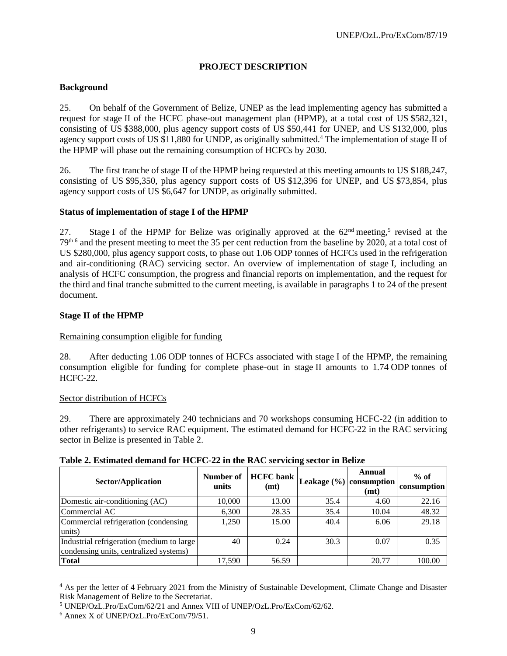# **PROJECT DESCRIPTION**

# **Background**

25. On behalf of the Government of Belize, UNEP as the lead implementing agency has submitted a request for stage II of the HCFC phase-out management plan (HPMP), at a total cost of US \$582,321, consisting of US \$388,000, plus agency support costs of US \$50,441 for UNEP, and US \$132,000, plus agency support costs of US \$11,880 for UNDP, as originally submitted.<sup>4</sup> The implementation of stage II of the HPMP will phase out the remaining consumption of HCFCs by 2030.

26. The first tranche of stage II of the HPMP being requested at this meeting amounts to US \$188,247, consisting of US \$95,350, plus agency support costs of US \$12,396 for UNEP, and US \$73,854, plus agency support costs of US \$6,647 for UNDP, as originally submitted.

### **Status of implementation of stage I of the HPMP**

27. Stage I of the HPMP for Belize was originally approved at the  $62<sup>nd</sup>$  meeting,<sup>5</sup> revised at the 79<sup>th 6</sup> and the present meeting to meet the 35 per cent reduction from the baseline by 2020, at a total cost of US \$280,000, plus agency support costs, to phase out 1.06 ODP tonnes of HCFCs used in the refrigeration and air-conditioning (RAC) servicing sector. An overview of implementation of stage I, including an analysis of HCFC consumption, the progress and financial reports on implementation, and the request for the third and final tranche submitted to the current meeting, is available in paragraphs 1 to 24 of the present document.

### **Stage II of the HPMP**

### Remaining consumption eligible for funding

28. After deducting 1.06 ODP tonnes of HCFCs associated with stage I of the HPMP, the remaining consumption eligible for funding for complete phase-out in stage II amounts to 1.74 ODP tonnes of HCFC-22.

### Sector distribution of HCFCs

29. There are approximately 240 technicians and 70 workshops consuming HCFC-22 (in addition to other refrigerants) to service RAC equipment. The estimated demand for HCFC-22 in the RAC servicing sector in Belize is presented in Table 2.

| <b>Sector/Application</b>                       | Number of<br>units | <b>HCFC</b> bank<br>(mt) |      | Annual<br>Leakage $(\% )$ consumption<br>(mt) | $%$ of<br>consumption |
|-------------------------------------------------|--------------------|--------------------------|------|-----------------------------------------------|-----------------------|
| Domestic air-conditioning (AC)                  | 10,000             | 13.00                    | 35.4 | 4.60                                          | 22.16                 |
| Commercial AC                                   | 6,300              | 28.35                    | 35.4 | 10.04                                         | 48.32                 |
| Commercial refrigeration (condensing)<br>units) | 1,250              | 15.00                    | 40.4 | 6.06                                          | 29.18                 |
| Industrial refrigeration (medium to large)      | 40                 | 0.24                     | 30.3 | 0.07                                          | 0.35                  |
| condensing units, centralized systems)          |                    |                          |      |                                               |                       |
| <b>Total</b>                                    | 17,590             | 56.59                    |      | 20.77                                         | 100.00                |

# **Table 2. Estimated demand for HCFC-22 in the RAC servicing sector in Belize**

<sup>&</sup>lt;sup>4</sup> As per the letter of 4 February 2021 from the Ministry of Sustainable Development, Climate Change and Disaster Risk Management of Belize to the Secretariat.

<sup>5</sup> UNEP/OzL.Pro/ExCom/62/21 and Annex VIII of UNEP/OzL.Pro/ExCom/62/62.

<sup>6</sup> Annex X of UNEP/OzL.Pro/ExCom/79/51.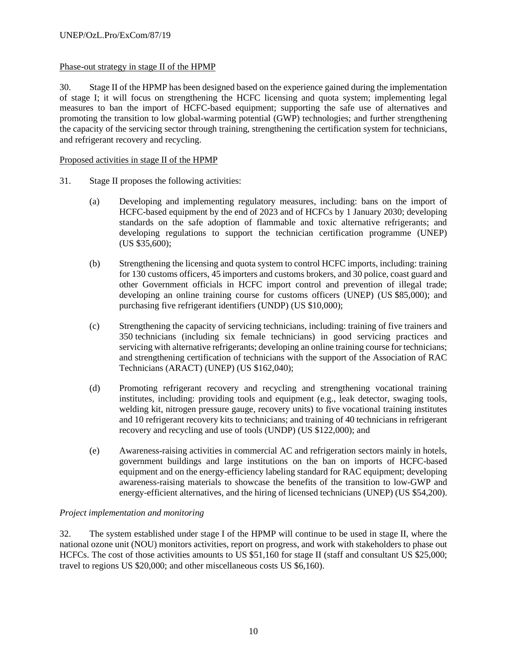# Phase-out strategy in stage II of the HPMP

30. Stage II of the HPMP has been designed based on the experience gained during the implementation of stage I; it will focus on strengthening the HCFC licensing and quota system; implementing legal measures to ban the import of HCFC-based equipment; supporting the safe use of alternatives and promoting the transition to low global-warming potential (GWP) technologies; and further strengthening the capacity of the servicing sector through training, strengthening the certification system for technicians, and refrigerant recovery and recycling.

# Proposed activities in stage II of the HPMP

- 31. Stage II proposes the following activities:
	- (a) Developing and implementing regulatory measures, including: bans on the import of HCFC-based equipment by the end of 2023 and of HCFCs by 1 January 2030; developing standards on the safe adoption of flammable and toxic alternative refrigerants; and developing regulations to support the technician certification programme (UNEP) (US \$35,600);
	- (b) Strengthening the licensing and quota system to control HCFC imports, including: training for 130 customs officers, 45 importers and customs brokers, and 30 police, coast guard and other Government officials in HCFC import control and prevention of illegal trade; developing an online training course for customs officers (UNEP) (US \$85,000); and purchasing five refrigerant identifiers (UNDP) (US \$10,000);
	- (c) Strengthening the capacity of servicing technicians, including: training of five trainers and 350 technicians (including six female technicians) in good servicing practices and servicing with alternative refrigerants; developing an online training course for technicians; and strengthening certification of technicians with the support of the Association of RAC Technicians (ARACT) (UNEP) (US \$162,040);
	- (d) Promoting refrigerant recovery and recycling and strengthening vocational training institutes, including: providing tools and equipment (e.g., leak detector, swaging tools, welding kit, nitrogen pressure gauge, recovery units) to five vocational training institutes and 10 refrigerant recovery kits to technicians; and training of 40 technicians in refrigerant recovery and recycling and use of tools (UNDP) (US \$122,000); and
	- (e) Awareness-raising activities in commercial AC and refrigeration sectors mainly in hotels, government buildings and large institutions on the ban on imports of HCFC-based equipment and on the energy-efficiency labeling standard for RAC equipment; developing awareness-raising materials to showcase the benefits of the transition to low-GWP and energy-efficient alternatives, and the hiring of licensed technicians (UNEP) (US \$54,200).

# *Project implementation and monitoring*

32. The system established under stage I of the HPMP will continue to be used in stage II, where the national ozone unit (NOU) monitors activities, report on progress, and work with stakeholders to phase out HCFCs. The cost of those activities amounts to US \$51,160 for stage II (staff and consultant US \$25,000; travel to regions US \$20,000; and other miscellaneous costs US \$6,160).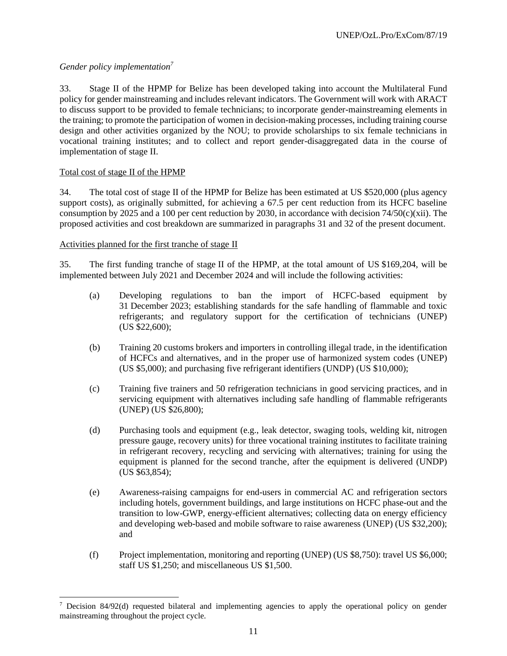# *Gender policy implementation<sup>7</sup>*

33. Stage II of the HPMP for Belize has been developed taking into account the Multilateral Fund policy for gender mainstreaming and includes relevant indicators. The Government will work with ARACT to discuss support to be provided to female technicians; to incorporate gender-mainstreaming elements in the training; to promote the participation of women in decision-making processes, including training course design and other activities organized by the NOU; to provide scholarships to six female technicians in vocational training institutes; and to collect and report gender-disaggregated data in the course of implementation of stage II.

### Total cost of stage II of the HPMP

34. The total cost of stage II of the HPMP for Belize has been estimated at US \$520,000 (plus agency support costs), as originally submitted, for achieving a 67.5 per cent reduction from its HCFC baseline consumption by 2025 and a 100 per cent reduction by 2030, in accordance with decision 74/50(c)(xii). The proposed activities and cost breakdown are summarized in paragraphs 31 and 32 of the present document.

### Activities planned for the first tranche of stage II

35. The first funding tranche of stage II of the HPMP, at the total amount of US \$169,204, will be implemented between July 2021 and December 2024 and will include the following activities:

- (a) Developing regulations to ban the import of HCFC-based equipment by 31 December 2023; establishing standards for the safe handling of flammable and toxic refrigerants; and regulatory support for the certification of technicians (UNEP) (US \$22,600);
- (b) Training 20 customs brokers and importers in controlling illegal trade, in the identification of HCFCs and alternatives, and in the proper use of harmonized system codes (UNEP) (US \$5,000); and purchasing five refrigerant identifiers (UNDP) (US \$10,000);
- (c) Training five trainers and 50 refrigeration technicians in good servicing practices, and in servicing equipment with alternatives including safe handling of flammable refrigerants (UNEP) (US \$26,800);
- (d) Purchasing tools and equipment (e.g., leak detector, swaging tools, welding kit, nitrogen pressure gauge, recovery units) for three vocational training institutes to facilitate training in refrigerant recovery, recycling and servicing with alternatives; training for using the equipment is planned for the second tranche, after the equipment is delivered (UNDP) (US \$63,854);
- (e) Awareness-raising campaigns for end-users in commercial AC and refrigeration sectors including hotels, government buildings, and large institutions on HCFC phase-out and the transition to low-GWP, energy-efficient alternatives; collecting data on energy efficiency and developing web-based and mobile software to raise awareness (UNEP) (US \$32,200); and
- (f) Project implementation, monitoring and reporting (UNEP) (US \$8,750): travel US \$6,000; staff US \$1,250; and miscellaneous US \$1,500.

 $7$  Decision 84/92(d) requested bilateral and implementing agencies to apply the operational policy on gender mainstreaming throughout the project cycle.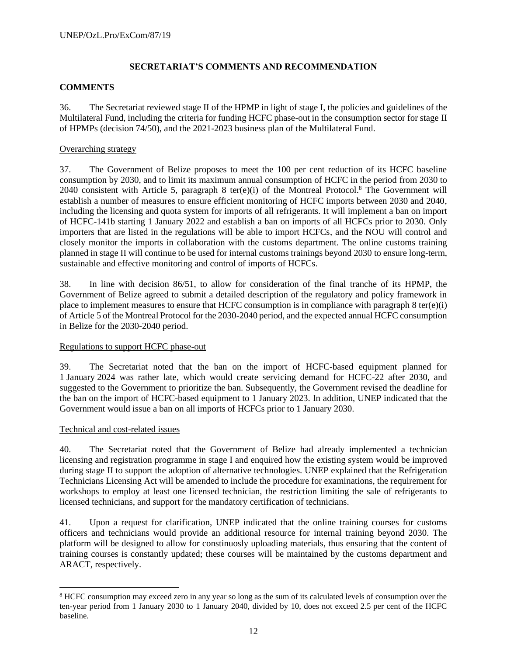# **SECRETARIAT'S COMMENTS AND RECOMMENDATION**

### **COMMENTS**

36. The Secretariat reviewed stage II of the HPMP in light of stage I, the policies and guidelines of the Multilateral Fund, including the criteria for funding HCFC phase-out in the consumption sector for stage II of HPMPs (decision 74/50), and the 2021-2023 business plan of the Multilateral Fund.

### Overarching strategy

37. The Government of Belize proposes to meet the 100 per cent reduction of its HCFC baseline consumption by 2030, and to limit its maximum annual consumption of HCFC in the period from 2030 to 2040 consistent with Article 5, paragraph 8 ter(e)(i) of the Montreal Protocol.<sup>8</sup> The Government will establish a number of measures to ensure efficient monitoring of HCFC imports between 2030 and 2040, including the licensing and quota system for imports of all refrigerants. It will implement a ban on import of HCFC-141b starting 1 January 2022 and establish a ban on imports of all HCFCs prior to 2030. Only importers that are listed in the regulations will be able to import HCFCs, and the NOU will control and closely monitor the imports in collaboration with the customs department. The online customs training planned in stage II will continue to be used for internal customs trainings beyond 2030 to ensure long-term, sustainable and effective monitoring and control of imports of HCFCs.

38. In line with decision 86/51, to allow for consideration of the final tranche of its HPMP, the Government of Belize agreed to submit a detailed description of the regulatory and policy framework in place to implement measures to ensure that HCFC consumption is in compliance with paragraph 8 ter(e)(i) of Article 5 of the Montreal Protocol for the 2030-2040 period, and the expected annual HCFC consumption in Belize for the 2030-2040 period.

### Regulations to support HCFC phase-out

39. The Secretariat noted that the ban on the import of HCFC-based equipment planned for 1 January 2024 was rather late, which would create servicing demand for HCFC-22 after 2030, and suggested to the Government to prioritize the ban. Subsequently, the Government revised the deadline for the ban on the import of HCFC-based equipment to 1 January 2023. In addition, UNEP indicated that the Government would issue a ban on all imports of HCFCs prior to 1 January 2030.

### Technical and cost-related issues

40. The Secretariat noted that the Government of Belize had already implemented a technician licensing and registration programme in stage I and enquired how the existing system would be improved during stage II to support the adoption of alternative technologies. UNEP explained that the Refrigeration Technicians Licensing Act will be amended to include the procedure for examinations, the requirement for workshops to employ at least one licensed technician, the restriction limiting the sale of refrigerants to licensed technicians, and support for the mandatory certification of technicians.

41. Upon a request for clarification, UNEP indicated that the online training courses for customs officers and technicians would provide an additional resource for internal training beyond 2030. The platform will be designed to allow for constinuosly uploading materials, thus ensuring that the content of training courses is constantly updated; these courses will be maintained by the customs department and ARACT, respectively.

<sup>8</sup> HCFC consumption may exceed zero in any year so long as the sum of its calculated levels of consumption over the ten-year period from 1 January 2030 to 1 January 2040, divided by 10, does not exceed 2.5 per cent of the HCFC baseline.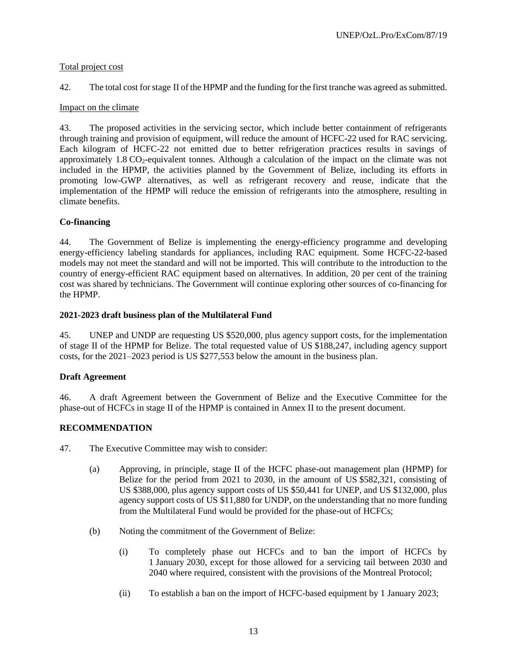# Total project cost

42. The total cost for stage II of the HPMP and the funding for the first tranche was agreed as submitted.

### Impact on the climate

43. The proposed activities in the servicing sector, which include better containment of refrigerants through training and provision of equipment, will reduce the amount of HCFC-22 used for RAC servicing. Each kilogram of HCFC-22 not emitted due to better refrigeration practices results in savings of approximately 1.8 CO<sub>2</sub>-equivalent tonnes. Although a calculation of the impact on the climate was not included in the HPMP, the activities planned by the Government of Belize, including its efforts in promoting low-GWP alternatives, as well as refrigerant recovery and reuse, indicate that the implementation of the HPMP will reduce the emission of refrigerants into the atmosphere, resulting in climate benefits.

### **Co-financing**

44. The Government of Belize is implementing the energy-efficiency programme and developing energy-efficiency labeling standards for appliances, including RAC equipment. Some HCFC-22-based models may not meet the standard and will not be imported. This will contribute to the introduction to the country of energy-efficient RAC equipment based on alternatives. In addition, 20 per cent of the training cost was shared by technicians. The Government will continue exploring other sources of co-financing for the HPMP.

### **2021-2023 draft business plan of the Multilateral Fund**

45. UNEP and UNDP are requesting US \$520,000, plus agency support costs, for the implementation of stage II of the HPMP for Belize. The total requested value of US \$188,247, including agency support costs, for the 2021–2023 period is US \$277,553 below the amount in the business plan.

### **Draft Agreement**

46. A draft Agreement between the Government of Belize and the Executive Committee for the phase-out of HCFCs in stage II of the HPMP is contained in Annex II to the present document.

# **RECOMMENDATION**

- 47. The Executive Committee may wish to consider:
	- (a) Approving, in principle, stage II of the HCFC phase-out management plan (HPMP) for Belize for the period from 2021 to 2030, in the amount of US \$582,321, consisting of US \$388,000, plus agency support costs of US \$50,441 for UNEP, and US \$132,000, plus agency support costs of US \$11,880 for UNDP, on the understanding that no more funding from the Multilateral Fund would be provided for the phase-out of HCFCs;
	- (b) Noting the commitment of the Government of Belize:
		- (i) To completely phase out HCFCs and to ban the import of HCFCs by 1 January 2030, except for those allowed for a servicing tail between 2030 and 2040 where required, consistent with the provisions of the Montreal Protocol;
		- (ii) To establish a ban on the import of HCFC-based equipment by 1 January 2023;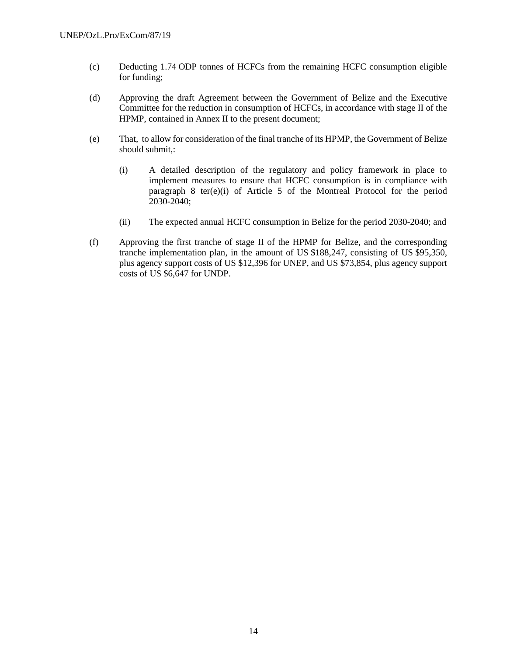- (c) Deducting 1.74 ODP tonnes of HCFCs from the remaining HCFC consumption eligible for funding;
- (d) Approving the draft Agreement between the Government of Belize and the Executive Committee for the reduction in consumption of HCFCs, in accordance with stage II of the HPMP, contained in Annex II to the present document;
- (e) That, to allow for consideration of the final tranche of its HPMP, the Government of Belize should submit,:
	- (i) A detailed description of the regulatory and policy framework in place to implement measures to ensure that HCFC consumption is in compliance with paragraph 8 ter(e)(i) of Article 5 of the Montreal Protocol for the period 2030-2040;
	- (ii) The expected annual HCFC consumption in Belize for the period 2030-2040; and
- (f) Approving the first tranche of stage II of the HPMP for Belize, and the corresponding tranche implementation plan, in the amount of US \$188,247, consisting of US \$95,350, plus agency support costs of US \$12,396 for UNEP, and US \$73,854, plus agency support costs of US \$6,647 for UNDP.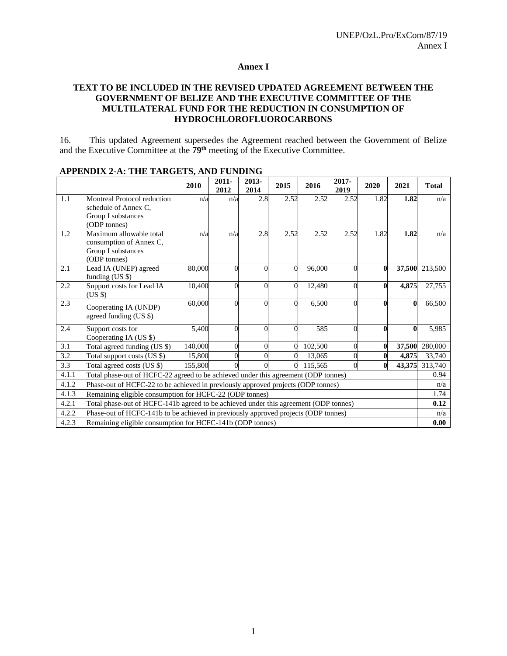#### **Annex I**

## **TEXT TO BE INCLUDED IN THE REVISED UPDATED AGREEMENT BETWEEN THE GOVERNMENT OF BELIZE AND THE EXECUTIVE COMMITTEE OF THE MULTILATERAL FUND FOR THE REDUCTION IN CONSUMPTION OF HYDROCHLOROFLUOROCARBONS**

16. This updated Agreement supersedes the Agreement reached between the Government of Belize and the Executive Committee at the **79th** meeting of the Executive Committee.

|       |                                                                                      | 2010    | $2011 -$<br>2012 | 2013-<br>2014 | 2015     | 2016    | $2017 -$<br>2019 | 2020         | 2021   | <b>Total</b>   |
|-------|--------------------------------------------------------------------------------------|---------|------------------|---------------|----------|---------|------------------|--------------|--------|----------------|
| 1.1   | Montreal Protocol reduction                                                          | n/a     | n/a              | 2.8           | 2.52     | 2.52    | 2.52             | 1.82         | 1.82   | n/a            |
|       | schedule of Annex C,                                                                 |         |                  |               |          |         |                  |              |        |                |
|       | Group I substances                                                                   |         |                  |               |          |         |                  |              |        |                |
|       | (ODP tonnes)                                                                         |         |                  |               |          |         |                  |              |        |                |
| 1.2   | Maximum allowable total                                                              | n/a     | n/a              | 2.8           | 2.52     | 2.52    | 2.52             | 1.82         | 1.82   | n/a            |
|       | consumption of Annex C,<br>Group I substances                                        |         |                  |               |          |         |                  |              |        |                |
|       | (ODP tonnes)                                                                         |         |                  |               |          |         |                  |              |        |                |
| 2.1   | Lead IA (UNEP) agreed                                                                | 80,000  | $\theta$         |               | $\Omega$ | 96,000  | $\Omega$         | $\bf{0}$     |        | 37,500 213,500 |
|       | funding (US \$)                                                                      |         |                  |               |          |         |                  |              |        |                |
| 2.2   | Support costs for Lead IA                                                            | 10,400  | $\theta$         |               | $\Omega$ | 12,480  | $\Omega$         | $\bf{0}$     | 4,875  | 27,755         |
|       | $(US \$                                                                              |         |                  |               |          |         |                  |              |        |                |
| 2.3   | Cooperating IA (UNDP)                                                                | 60,000  | $\Omega$         |               | $\Omega$ | 6,500   | $\Omega$         | $\mathbf{0}$ |        | 66,500         |
|       | agreed funding (US \$)                                                               |         |                  |               |          |         |                  |              |        |                |
| 2.4   | Support costs for                                                                    | 5,400   | $\Omega$         |               | $\Omega$ | 585     |                  | $\mathbf{0}$ |        | 5,985          |
|       | Cooperating IA (US \$)                                                               |         |                  |               |          |         |                  |              |        |                |
| 3.1   | Total agreed funding (US \$)                                                         | 140,000 | $\Omega$         |               | $\Omega$ | 102,500 |                  | 0            | 37,500 | 280,000        |
| 3.2   | Total support costs (US \$)                                                          | 15,800  |                  |               |          | 13,065  |                  |              | 4,875  | 33,740         |
| 3.3   | Total agreed costs (US \$)                                                           | 155,800 |                  |               | $\Omega$ | 115,565 |                  | $\mathbf{0}$ |        | 43,375 313,740 |
| 4.1.1 | Total phase-out of HCFC-22 agreed to be achieved under this agreement (ODP tonnes)   |         |                  |               |          |         |                  |              |        | 0.94           |
| 4.1.2 | Phase-out of HCFC-22 to be achieved in previously approved projects (ODP tonnes)     |         |                  |               |          |         |                  |              |        | n/a            |
| 4.1.3 | Remaining eligible consumption for HCFC-22 (ODP tonnes)                              |         |                  |               |          |         |                  |              |        | 1.74           |
| 4.2.1 | Total phase-out of HCFC-141b agreed to be achieved under this agreement (ODP tonnes) |         |                  |               |          |         |                  |              |        | 0.12           |
| 4.2.2 | Phase-out of HCFC-141b to be achieved in previously approved projects (ODP tonnes)   |         |                  |               |          |         |                  |              |        | n/a            |
| 4.2.3 | Remaining eligible consumption for HCFC-141b (ODP tonnes)                            |         |                  |               |          |         |                  |              |        | 0.00           |

#### **APPENDIX 2-A: THE TARGETS, AND FUNDING**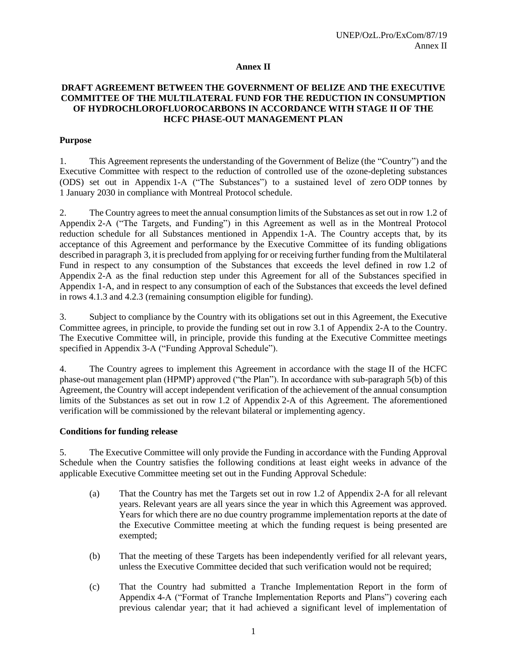#### **Annex II**

### **DRAFT AGREEMENT BETWEEN THE GOVERNMENT OF BELIZE AND THE EXECUTIVE COMMITTEE OF THE MULTILATERAL FUND FOR THE REDUCTION IN CONSUMPTION OF HYDROCHLOROFLUOROCARBONS IN ACCORDANCE WITH STAGE II OF THE HCFC PHASE-OUT MANAGEMENT PLAN**

#### **Purpose**

1. This Agreement represents the understanding of the Government of Belize (the "Country") and the Executive Committee with respect to the reduction of controlled use of the ozone-depleting substances (ODS) set out in Appendix 1-A ("The Substances") to a sustained level of zero ODP tonnes by 1 January 2030 in compliance with Montreal Protocol schedule.

2. The Country agrees to meet the annual consumption limits of the Substances as set out in row 1.2 of Appendix 2-A ("The Targets, and Funding") in this Agreement as well as in the Montreal Protocol reduction schedule for all Substances mentioned in Appendix 1-A. The Country accepts that, by its acceptance of this Agreement and performance by the Executive Committee of its funding obligations described in paragraph 3, it is precluded from applying for or receiving further funding from the Multilateral Fund in respect to any consumption of the Substances that exceeds the level defined in row 1.2 of Appendix 2-A as the final reduction step under this Agreement for all of the Substances specified in Appendix 1-A, and in respect to any consumption of each of the Substances that exceeds the level defined in rows 4.1.3 and 4.2.3 (remaining consumption eligible for funding).

3. Subject to compliance by the Country with its obligations set out in this Agreement, the Executive Committee agrees, in principle, to provide the funding set out in row 3.1 of Appendix 2-A to the Country. The Executive Committee will, in principle, provide this funding at the Executive Committee meetings specified in Appendix 3-A ("Funding Approval Schedule").

4. The Country agrees to implement this Agreement in accordance with the stage II of the HCFC phase-out management plan (HPMP) approved ("the Plan"). In accordance with sub-paragraph 5(b) of this Agreement, the Country will accept independent verification of the achievement of the annual consumption limits of the Substances as set out in row 1.2 of Appendix 2-A of this Agreement. The aforementioned verification will be commissioned by the relevant bilateral or implementing agency.

#### **Conditions for funding release**

5. The Executive Committee will only provide the Funding in accordance with the Funding Approval Schedule when the Country satisfies the following conditions at least eight weeks in advance of the applicable Executive Committee meeting set out in the Funding Approval Schedule:

- (a) That the Country has met the Targets set out in row 1.2 of Appendix 2-A for all relevant years. Relevant years are all years since the year in which this Agreement was approved. Years for which there are no due country programme implementation reports at the date of the Executive Committee meeting at which the funding request is being presented are exempted;
- (b) That the meeting of these Targets has been independently verified for all relevant years, unless the Executive Committee decided that such verification would not be required;
- (c) That the Country had submitted a Tranche Implementation Report in the form of Appendix 4-A ("Format of Tranche Implementation Reports and Plans") covering each previous calendar year; that it had achieved a significant level of implementation of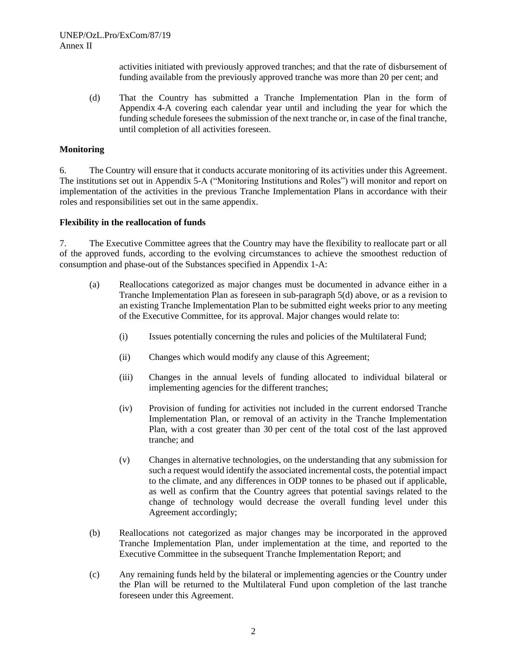activities initiated with previously approved tranches; and that the rate of disbursement of funding available from the previously approved tranche was more than 20 per cent; and

(d) That the Country has submitted a Tranche Implementation Plan in the form of Appendix 4-A covering each calendar year until and including the year for which the funding schedule foresees the submission of the next tranche or, in case of the final tranche, until completion of all activities foreseen.

#### **Monitoring**

6. The Country will ensure that it conducts accurate monitoring of its activities under this Agreement. The institutions set out in Appendix 5-A ("Monitoring Institutions and Roles") will monitor and report on implementation of the activities in the previous Tranche Implementation Plans in accordance with their roles and responsibilities set out in the same appendix.

#### **Flexibility in the reallocation of funds**

7. The Executive Committee agrees that the Country may have the flexibility to reallocate part or all of the approved funds, according to the evolving circumstances to achieve the smoothest reduction of consumption and phase-out of the Substances specified in Appendix 1-A:

- (a) Reallocations categorized as major changes must be documented in advance either in a Tranche Implementation Plan as foreseen in sub-paragraph 5(d) above, or as a revision to an existing Tranche Implementation Plan to be submitted eight weeks prior to any meeting of the Executive Committee, for its approval. Major changes would relate to:
	- (i) Issues potentially concerning the rules and policies of the Multilateral Fund;
	- (ii) Changes which would modify any clause of this Agreement;
	- (iii) Changes in the annual levels of funding allocated to individual bilateral or implementing agencies for the different tranches;
	- (iv) Provision of funding for activities not included in the current endorsed Tranche Implementation Plan, or removal of an activity in the Tranche Implementation Plan, with a cost greater than 30 per cent of the total cost of the last approved tranche; and
	- (v) Changes in alternative technologies, on the understanding that any submission for such a request would identify the associated incremental costs, the potential impact to the climate, and any differences in ODP tonnes to be phased out if applicable, as well as confirm that the Country agrees that potential savings related to the change of technology would decrease the overall funding level under this Agreement accordingly;
- (b) Reallocations not categorized as major changes may be incorporated in the approved Tranche Implementation Plan, under implementation at the time, and reported to the Executive Committee in the subsequent Tranche Implementation Report; and
- (c) Any remaining funds held by the bilateral or implementing agencies or the Country under the Plan will be returned to the Multilateral Fund upon completion of the last tranche foreseen under this Agreement.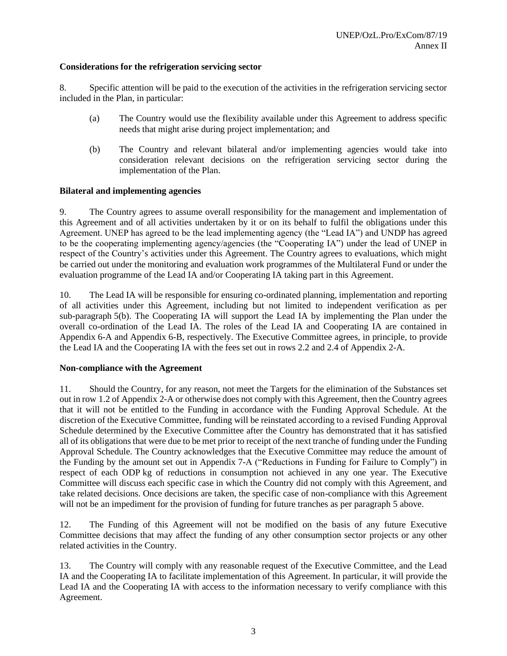### **Considerations for the refrigeration servicing sector**

8. Specific attention will be paid to the execution of the activities in the refrigeration servicing sector included in the Plan, in particular:

- (a) The Country would use the flexibility available under this Agreement to address specific needs that might arise during project implementation; and
- (b) The Country and relevant bilateral and/or implementing agencies would take into consideration relevant decisions on the refrigeration servicing sector during the implementation of the Plan.

### **Bilateral and implementing agencies**

9. The Country agrees to assume overall responsibility for the management and implementation of this Agreement and of all activities undertaken by it or on its behalf to fulfil the obligations under this Agreement. UNEP has agreed to be the lead implementing agency (the "Lead IA") and UNDP has agreed to be the cooperating implementing agency/agencies (the "Cooperating IA") under the lead of UNEP in respect of the Country's activities under this Agreement. The Country agrees to evaluations, which might be carried out under the monitoring and evaluation work programmes of the Multilateral Fund or under the evaluation programme of the Lead IA and/or Cooperating IA taking part in this Agreement.

10. The Lead IA will be responsible for ensuring co-ordinated planning, implementation and reporting of all activities under this Agreement, including but not limited to independent verification as per sub-paragraph 5(b). The Cooperating IA will support the Lead IA by implementing the Plan under the overall co-ordination of the Lead IA. The roles of the Lead IA and Cooperating IA are contained in Appendix 6-A and Appendix 6-B, respectively. The Executive Committee agrees, in principle, to provide the Lead IA and the Cooperating IA with the fees set out in rows 2.2 and 2.4 of Appendix 2-A.

### **Non-compliance with the Agreement**

11. Should the Country, for any reason, not meet the Targets for the elimination of the Substances set out in row 1.2 of Appendix 2-A or otherwise does not comply with this Agreement, then the Country agrees that it will not be entitled to the Funding in accordance with the Funding Approval Schedule. At the discretion of the Executive Committee, funding will be reinstated according to a revised Funding Approval Schedule determined by the Executive Committee after the Country has demonstrated that it has satisfied all of its obligations that were due to be met prior to receipt of the next tranche of funding under the Funding Approval Schedule. The Country acknowledges that the Executive Committee may reduce the amount of the Funding by the amount set out in Appendix 7-A ("Reductions in Funding for Failure to Comply") in respect of each ODP kg of reductions in consumption not achieved in any one year. The Executive Committee will discuss each specific case in which the Country did not comply with this Agreement, and take related decisions. Once decisions are taken, the specific case of non-compliance with this Agreement will not be an impediment for the provision of funding for future tranches as per paragraph 5 above.

12. The Funding of this Agreement will not be modified on the basis of any future Executive Committee decisions that may affect the funding of any other consumption sector projects or any other related activities in the Country.

13. The Country will comply with any reasonable request of the Executive Committee, and the Lead IA and the Cooperating IA to facilitate implementation of this Agreement. In particular, it will provide the Lead IA and the Cooperating IA with access to the information necessary to verify compliance with this Agreement.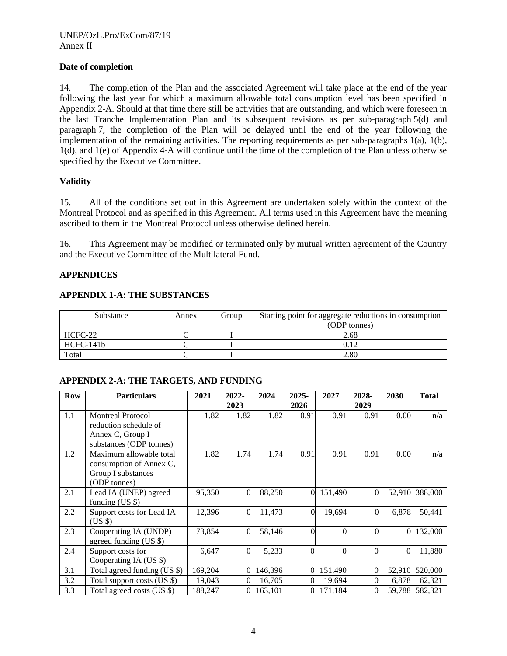### **Date of completion**

14. The completion of the Plan and the associated Agreement will take place at the end of the year following the last year for which a maximum allowable total consumption level has been specified in Appendix 2-A. Should at that time there still be activities that are outstanding, and which were foreseen in the last Tranche Implementation Plan and its subsequent revisions as per sub-paragraph 5(d) and paragraph 7, the completion of the Plan will be delayed until the end of the year following the implementation of the remaining activities. The reporting requirements as per sub-paragraphs 1(a), 1(b), 1(d), and 1(e) of Appendix 4-A will continue until the time of the completion of the Plan unless otherwise specified by the Executive Committee.

### **Validity**

15. All of the conditions set out in this Agreement are undertaken solely within the context of the Montreal Protocol and as specified in this Agreement. All terms used in this Agreement have the meaning ascribed to them in the Montreal Protocol unless otherwise defined herein.

16. This Agreement may be modified or terminated only by mutual written agreement of the Country and the Executive Committee of the Multilateral Fund.

### **APPENDICES**

### **APPENDIX 1-A: THE SUBSTANCES**

| Substance   | Annex | Group | Starting point for aggregate reductions in consumption<br>(ODP tonnes) |
|-------------|-------|-------|------------------------------------------------------------------------|
| HCFC-22     |       |       | 2.68                                                                   |
| $HCFC-141b$ |       |       | 0.12                                                                   |
| Total       |       |       | 2.80                                                                   |

# **APPENDIX 2-A: THE TARGETS, AND FUNDING**

| <b>Row</b> | <b>Particulars</b>           | 2021    | 2022-    | 2024    | 2025-    | 2027    | 2028- | 2030   | <b>Total</b> |
|------------|------------------------------|---------|----------|---------|----------|---------|-------|--------|--------------|
|            |                              |         | 2023     |         | 2026     |         | 2029  |        |              |
| 1.1        | <b>Montreal Protocol</b>     | 1.82    | 1.82     | 1.82    | 0.91     | 0.91    | 0.91  | 0.00   | n/a          |
|            | reduction schedule of        |         |          |         |          |         |       |        |              |
|            | Annex C, Group I             |         |          |         |          |         |       |        |              |
|            | substances (ODP tonnes)      |         |          |         |          |         |       |        |              |
| 1.2        | Maximum allowable total      | 1.82    | 1.74     | 1.74    | 0.91     | 0.91    | 0.91  | 0.00   | n/a          |
|            | consumption of Annex C,      |         |          |         |          |         |       |        |              |
|            | Group I substances           |         |          |         |          |         |       |        |              |
|            | (ODP tonnes)                 |         |          |         |          |         |       |        |              |
| 2.1        | Lead IA (UNEP) agreed        | 95,350  | 0        | 88,250  |          | 151,490 |       | 52,910 | 388,000      |
|            | funding $(US \$              |         |          |         |          |         |       |        |              |
| 2.2        | Support costs for Lead IA    | 12,396  | $\Omega$ | 11,473  |          | 19,694  |       | 6,878  | 50,441       |
|            | $(US \$                      |         |          |         |          |         |       |        |              |
| 2.3        | Cooperating IA (UNDP)        | 73,854  | 0        | 58,146  |          |         |       |        | 132,000      |
|            | agreed funding $(US \$       |         |          |         |          |         |       |        |              |
| 2.4        | Support costs for            | 6,647   | 0        | 5,233   | $\Omega$ |         |       |        | 11,880       |
|            | Cooperating IA (US \$)       |         |          |         |          |         |       |        |              |
| 3.1        | Total agreed funding (US \$) | 169,204 |          | 146,396 |          | 151,490 |       | 52,910 | 520,000      |
| 3.2        | Total support costs (US \$)  | 19,043  |          | 16,705  |          | 19,694  |       | 6,878  | 62,321       |
| 3.3        | Total agreed costs (US \$)   | 188,247 | 0        | 163,101 | $\Omega$ | 171,184 |       | 59,788 | 582,321      |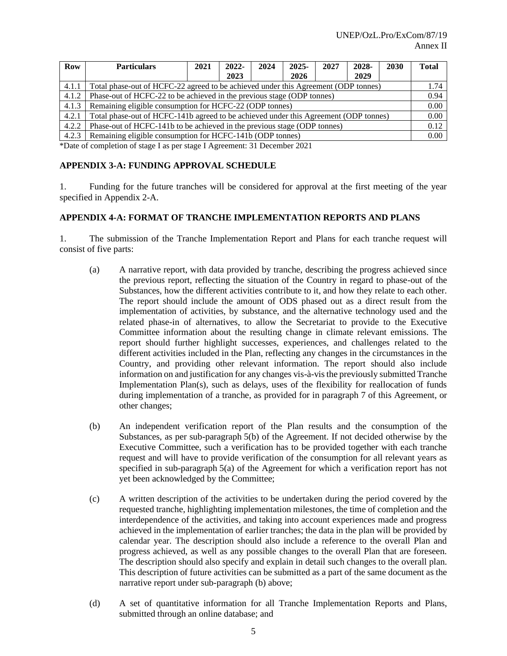| <b>Row</b> | <b>Particulars</b>                                                                   | 2021 | $2022 -$ | 2024 | $2025 -$ | 2027 | 2028- | 2030 | <b>Total</b> |
|------------|--------------------------------------------------------------------------------------|------|----------|------|----------|------|-------|------|--------------|
|            |                                                                                      |      | 2023     |      | 2026     |      | 2029  |      |              |
| 4.1.1      | Total phase-out of HCFC-22 agreed to be achieved under this Agreement (ODP tonnes)   |      |          |      |          |      |       |      | 1.74         |
| 4.1.2      | Phase-out of HCFC-22 to be achieved in the previous stage (ODP tonnes)               |      |          |      |          |      |       |      | 0.94         |
| 4.1.3      | Remaining eligible consumption for HCFC-22 (ODP tonnes)                              |      |          |      |          |      |       |      | 0.00         |
| 4.2.1      | Total phase-out of HCFC-141b agreed to be achieved under this Agreement (ODP tonnes) |      |          |      |          |      |       |      | 0.00         |
| 4.2.2      | Phase-out of HCFC-141b to be achieved in the previous stage (ODP tonnes)             |      |          |      |          |      |       |      | 0.12         |
| 4.2.3      | Remaining eligible consumption for HCFC-141b (ODP tonnes)                            |      |          |      |          |      |       |      | 0.00         |

\*Date of completion of stage I as per stage I Agreement: 31 December 2021

#### **APPENDIX 3-A: FUNDING APPROVAL SCHEDULE**

1. Funding for the future tranches will be considered for approval at the first meeting of the year specified in Appendix 2-A.

#### **APPENDIX 4-A: FORMAT OF TRANCHE IMPLEMENTATION REPORTS AND PLANS**

1. The submission of the Tranche Implementation Report and Plans for each tranche request will consist of five parts:

- (a) A narrative report, with data provided by tranche, describing the progress achieved since the previous report, reflecting the situation of the Country in regard to phase-out of the Substances, how the different activities contribute to it, and how they relate to each other. The report should include the amount of ODS phased out as a direct result from the implementation of activities, by substance, and the alternative technology used and the related phase-in of alternatives, to allow the Secretariat to provide to the Executive Committee information about the resulting change in climate relevant emissions. The report should further highlight successes, experiences, and challenges related to the different activities included in the Plan, reflecting any changes in the circumstances in the Country, and providing other relevant information. The report should also include information on and justification for any changes vis-à-vis the previously submitted Tranche Implementation Plan(s), such as delays, uses of the flexibility for reallocation of funds during implementation of a tranche, as provided for in paragraph 7 of this Agreement, or other changes;
- (b) An independent verification report of the Plan results and the consumption of the Substances, as per sub-paragraph 5(b) of the Agreement. If not decided otherwise by the Executive Committee, such a verification has to be provided together with each tranche request and will have to provide verification of the consumption for all relevant years as specified in sub-paragraph 5(a) of the Agreement for which a verification report has not yet been acknowledged by the Committee;
- (c) A written description of the activities to be undertaken during the period covered by the requested tranche, highlighting implementation milestones, the time of completion and the interdependence of the activities, and taking into account experiences made and progress achieved in the implementation of earlier tranches; the data in the plan will be provided by calendar year. The description should also include a reference to the overall Plan and progress achieved, as well as any possible changes to the overall Plan that are foreseen. The description should also specify and explain in detail such changes to the overall plan. This description of future activities can be submitted as a part of the same document as the narrative report under sub-paragraph (b) above;
- (d) A set of quantitative information for all Tranche Implementation Reports and Plans, submitted through an online database; and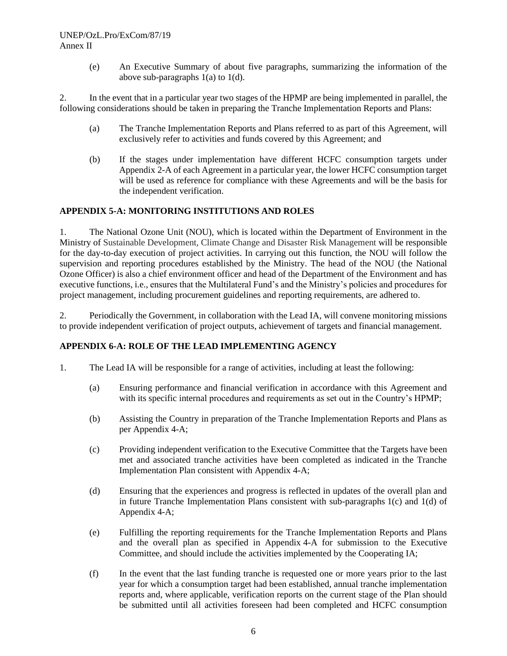(e) An Executive Summary of about five paragraphs, summarizing the information of the above sub-paragraphs  $1(a)$  to  $1(d)$ .

2. In the event that in a particular year two stages of the HPMP are being implemented in parallel, the following considerations should be taken in preparing the Tranche Implementation Reports and Plans:

- (a) The Tranche Implementation Reports and Plans referred to as part of this Agreement, will exclusively refer to activities and funds covered by this Agreement; and
- (b) If the stages under implementation have different HCFC consumption targets under Appendix 2-A of each Agreement in a particular year, the lower HCFC consumption target will be used as reference for compliance with these Agreements and will be the basis for the independent verification.

### **APPENDIX 5-A: MONITORING INSTITUTIONS AND ROLES**

1. The National Ozone Unit (NOU), which is located within the Department of Environment in the Ministry of Sustainable Development, Climate Change and Disaster Risk Management will be responsible for the day-to-day execution of project activities. In carrying out this function, the NOU will follow the supervision and reporting procedures established by the Ministry. The head of the NOU (the National Ozone Officer) is also a chief environment officer and head of the Department of the Environment and has executive functions, i.e., ensures that the Multilateral Fund's and the Ministry's policies and procedures for project management, including procurement guidelines and reporting requirements, are adhered to.

2. Periodically the Government, in collaboration with the Lead IA, will convene monitoring missions to provide independent verification of project outputs, achievement of targets and financial management.

### **APPENDIX 6-A: ROLE OF THE LEAD IMPLEMENTING AGENCY**

- 1. The Lead IA will be responsible for a range of activities, including at least the following:
	- (a) Ensuring performance and financial verification in accordance with this Agreement and with its specific internal procedures and requirements as set out in the Country's HPMP;
	- (b) Assisting the Country in preparation of the Tranche Implementation Reports and Plans as per Appendix 4-A;
	- (c) Providing independent verification to the Executive Committee that the Targets have been met and associated tranche activities have been completed as indicated in the Tranche Implementation Plan consistent with Appendix 4-A;
	- (d) Ensuring that the experiences and progress is reflected in updates of the overall plan and in future Tranche Implementation Plans consistent with sub-paragraphs 1(c) and 1(d) of Appendix 4-A;
	- (e) Fulfilling the reporting requirements for the Tranche Implementation Reports and Plans and the overall plan as specified in Appendix 4-A for submission to the Executive Committee, and should include the activities implemented by the Cooperating IA;
	- (f) In the event that the last funding tranche is requested one or more years prior to the last year for which a consumption target had been established, annual tranche implementation reports and, where applicable, verification reports on the current stage of the Plan should be submitted until all activities foreseen had been completed and HCFC consumption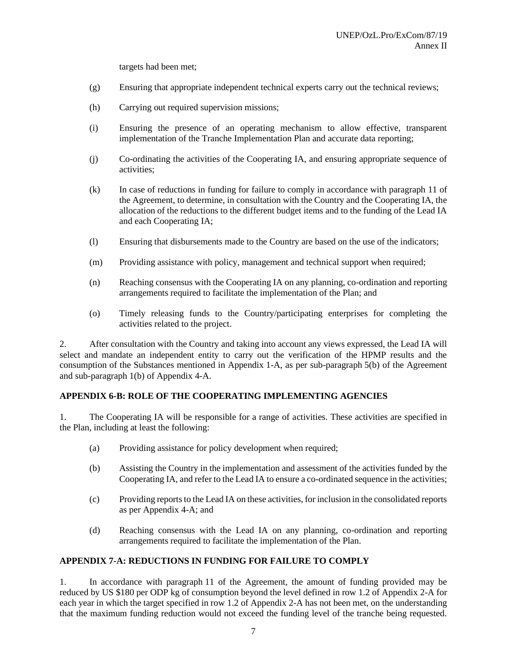targets had been met;

- (g) Ensuring that appropriate independent technical experts carry out the technical reviews;
- (h) Carrying out required supervision missions;
- (i) Ensuring the presence of an operating mechanism to allow effective, transparent implementation of the Tranche Implementation Plan and accurate data reporting;
- (j) Co-ordinating the activities of the Cooperating IA, and ensuring appropriate sequence of activities;
- (k) In case of reductions in funding for failure to comply in accordance with paragraph 11 of the Agreement, to determine, in consultation with the Country and the Cooperating IA, the allocation of the reductions to the different budget items and to the funding of the Lead IA and each Cooperating IA;
- (l) Ensuring that disbursements made to the Country are based on the use of the indicators;
- (m) Providing assistance with policy, management and technical support when required;
- (n) Reaching consensus with the Cooperating IA on any planning, co-ordination and reporting arrangements required to facilitate the implementation of the Plan; and
- (o) Timely releasing funds to the Country/participating enterprises for completing the activities related to the project.

2. After consultation with the Country and taking into account any views expressed, the Lead IA will select and mandate an independent entity to carry out the verification of the HPMP results and the consumption of the Substances mentioned in Appendix 1-A, as per sub-paragraph 5(b) of the Agreement and sub-paragraph 1(b) of Appendix 4-A.

### **APPENDIX 6-B: ROLE OF THE COOPERATING IMPLEMENTING AGENCIES**

1. The Cooperating IA will be responsible for a range of activities. These activities are specified in the Plan, including at least the following:

- (a) Providing assistance for policy development when required;
- (b) Assisting the Country in the implementation and assessment of the activities funded by the Cooperating IA, and refer to the Lead IA to ensure a co-ordinated sequence in the activities;
- (c) Providing reports to the Lead IA on these activities, for inclusion in the consolidated reports as per Appendix 4-A; and
- (d) Reaching consensus with the Lead IA on any planning, co-ordination and reporting arrangements required to facilitate the implementation of the Plan.

#### **APPENDIX 7-A: REDUCTIONS IN FUNDING FOR FAILURE TO COMPLY**

1. In accordance with paragraph 11 of the Agreement, the amount of funding provided may be reduced by US \$180 per ODP kg of consumption beyond the level defined in row 1.2 of Appendix 2-A for each year in which the target specified in row 1.2 of Appendix 2-A has not been met, on the understanding that the maximum funding reduction would not exceed the funding level of the tranche being requested.